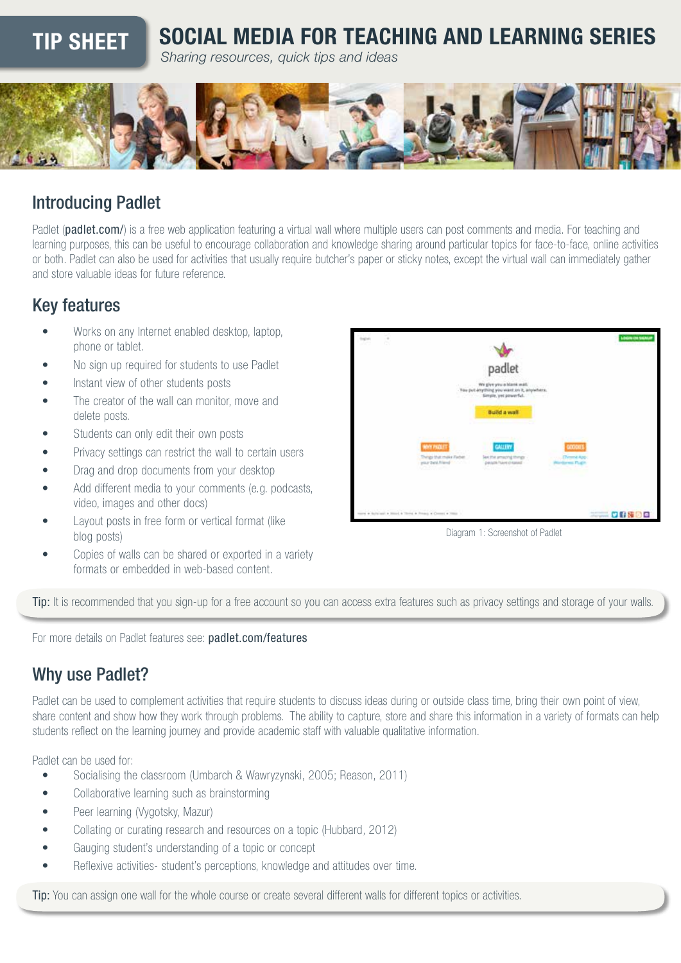# TIP SHEET SOCIAL MEDIA FOR TEACHING AND LEARNING SERIES

*Sharing resources, quick tips and ideas*



## Introducing Padlet

Padlet ([padlet.com/](http://padlet.com/)) is a free web application featuring a virtual wall where multiple users can post comments and media. For teaching and learning purposes, this can be useful to encourage collaboration and knowledge sharing around particular topics for face-to-face, online activities or both. Padlet can also be used for activities that usually require butcher's paper or sticky notes, except the virtual wall can immediately gather and store valuable ideas for future reference.

## Key features

- Works on any Internet enabled desktop, laptop, phone or tablet.
- No sign up required for students to use Padlet
- Instant view of other students posts
- The creator of the wall can monitor, move and delete posts.
- Students can only edit their own posts
- Privacy settings can restrict the wall to certain users
- Drag and drop documents from your desktop
- Add different media to your comments (e.g. podcasts, video, images and other docs)
- Layout posts in free form or vertical format (like blog posts)
- Copies of walls can be shared or exported in a variety formats or embedded in web-based content.



Diagram 1: Screenshot of Padlet

Tip: It is recommended that you sign-up for a free account so you can access extra features such as privacy settings and storage of your walls.

For more details on Padlet features see: [padlet.com/features](http://padlet.com/features)

## Why use Padlet?

Padlet can be used to complement activities that require students to discuss ideas during or outside class time, bring their own point of view, share content and show how they work through problems. The ability to capture, store and share this information in a variety of formats can help students reflect on the learning journey and provide academic staff with valuable qualitative information.

Padlet can be used for:

- Socialising the classroom (Umbarch & Wawryzynski, 2005; Reason, 2011)
- Collaborative learning such as brainstorming
- Peer learning (Vygotsky, Mazur)
- Collating or curating research and resources on a topic (Hubbard, 2012)
- Gauging student's understanding of a topic or concept
- Reflexive activities- student's perceptions, knowledge and attitudes over time.

Tip: You can assign one wall for the whole course or create several different walls for different topics or activities.